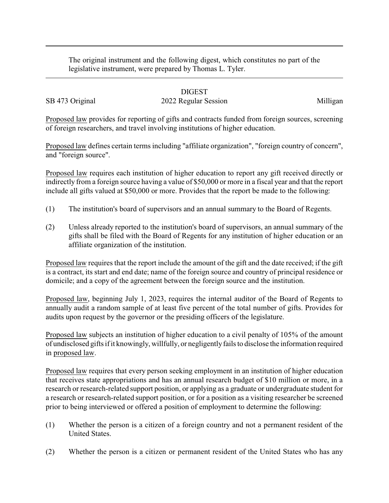The original instrument and the following digest, which constitutes no part of the legislative instrument, were prepared by Thomas L. Tyler.

## DIGEST

## SB 473 Original 2022 Regular Session Milligan

Proposed law provides for reporting of gifts and contracts funded from foreign sources, screening of foreign researchers, and travel involving institutions of higher education.

Proposed law defines certain terms including "affiliate organization", "foreign country of concern", and "foreign source".

Proposed law requires each institution of higher education to report any gift received directly or indirectly from a foreign source having a value of \$50,000 or more in a fiscal year and that the report include all gifts valued at \$50,000 or more. Provides that the report be made to the following:

- (1) The institution's board of supervisors and an annual summary to the Board of Regents.
- (2) Unless already reported to the institution's board of supervisors, an annual summary of the gifts shall be filed with the Board of Regents for any institution of higher education or an affiliate organization of the institution.

Proposed law requires that the report include the amount of the gift and the date received; if the gift is a contract, its start and end date; name of the foreign source and country of principal residence or domicile; and a copy of the agreement between the foreign source and the institution.

Proposed law, beginning July 1, 2023, requires the internal auditor of the Board of Regents to annually audit a random sample of at least five percent of the total number of gifts. Provides for audits upon request by the governor or the presiding officers of the legislature.

Proposed law subjects an institution of higher education to a civil penalty of 105% of the amount of undisclosed gifts if it knowingly, willfully, or negligentlyfails to disclose the information required in proposed law.

Proposed law requires that every person seeking employment in an institution of higher education that receives state appropriations and has an annual research budget of \$10 million or more, in a research or research-related support position, or applying as a graduate or undergraduate student for a research or research-related support position, or for a position as a visiting researcher be screened prior to being interviewed or offered a position of employment to determine the following:

- (1) Whether the person is a citizen of a foreign country and not a permanent resident of the United States.
- (2) Whether the person is a citizen or permanent resident of the United States who has any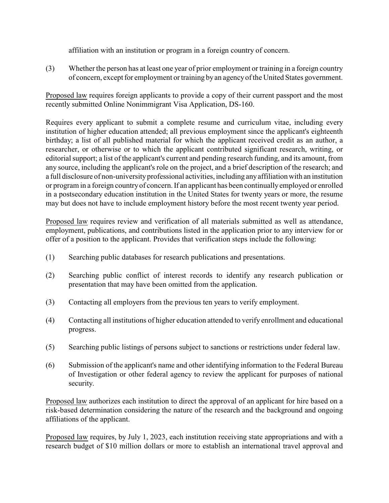affiliation with an institution or program in a foreign country of concern.

(3) Whether the person has at least one year of prior employment or training in a foreign country of concern, except for employment or training by an agencyof the United States government.

Proposed law requires foreign applicants to provide a copy of their current passport and the most recently submitted Online Nonimmigrant Visa Application, DS-160.

Requires every applicant to submit a complete resume and curriculum vitae, including every institution of higher education attended; all previous employment since the applicant's eighteenth birthday; a list of all published material for which the applicant received credit as an author, a researcher, or otherwise or to which the applicant contributed significant research, writing, or editorial support; a list of the applicant's current and pending research funding, and its amount, from any source, including the applicant's role on the project, and a brief description of the research; and a full disclosure of non-university professional activities, including anyaffiliation with an institution or program in a foreign country of concern. If an applicant has been continually employed or enrolled in a postsecondary education institution in the United States for twenty years or more, the resume may but does not have to include employment history before the most recent twenty year period.

Proposed law requires review and verification of all materials submitted as well as attendance, employment, publications, and contributions listed in the application prior to any interview for or offer of a position to the applicant. Provides that verification steps include the following:

- (1) Searching public databases for research publications and presentations.
- (2) Searching public conflict of interest records to identify any research publication or presentation that may have been omitted from the application.
- (3) Contacting all employers from the previous ten years to verify employment.
- (4) Contacting all institutions of higher education attended to verify enrollment and educational progress.
- (5) Searching public listings of persons subject to sanctions or restrictions under federal law.
- (6) Submission of the applicant's name and other identifying information to the Federal Bureau of Investigation or other federal agency to review the applicant for purposes of national security.

Proposed law authorizes each institution to direct the approval of an applicant for hire based on a risk-based determination considering the nature of the research and the background and ongoing affiliations of the applicant.

Proposed law requires, by July 1, 2023, each institution receiving state appropriations and with a research budget of \$10 million dollars or more to establish an international travel approval and